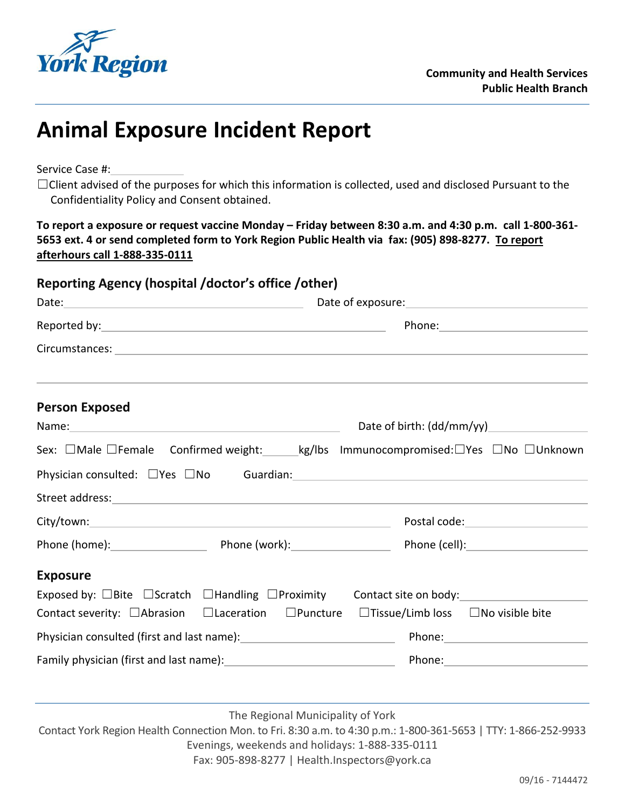

## **Animal Exposure Incident Report**

Service Case #:

☐Client advised of the purposes for which this information is collected, used and disclosed Pursuant to the Confidentiality Policy and Consent obtained.

**To report a exposure or request vaccine Monday – Friday between 8:30 a.m. and 4:30 p.m. call 1-800-361- 5653 ext. 4 or send completed form to York Region Public Health via fax: (905) 898-8277. To report afterhours call 1-888-335-0111**

| Reporting Agency (hospital /doctor's office /other)                                                                |                             |
|--------------------------------------------------------------------------------------------------------------------|-----------------------------|
|                                                                                                                    |                             |
|                                                                                                                    |                             |
|                                                                                                                    |                             |
| <b>Person Exposed</b>                                                                                              |                             |
|                                                                                                                    | Date of birth: $(dd/mm/yy)$ |
| Sex: □Male □Female Confirmed weight: ______kg/lbs Immunocompromised:□Yes □No □Unknown                              |                             |
| Physician consulted: □Yes □No Guardian: 1990 100 Guardian: 1990 100 Guardian: 1990 100 Mullet 100 Mullet 100 Mu    |                             |
|                                                                                                                    |                             |
|                                                                                                                    |                             |
|                                                                                                                    |                             |
| <b>Exposure</b>                                                                                                    |                             |
| Exposed by: $\Box$ Bite $\Box$ Scratch $\Box$ Handling $\Box$ Proximity Contact site on body:                      |                             |
| Contact severity: $\Box$ Abrasion $\Box$ Laceration $\Box$ Puncture $\Box$ Tissue/Limb loss $\Box$ No visible bite |                             |
|                                                                                                                    |                             |
|                                                                                                                    |                             |
|                                                                                                                    |                             |

The Regional Municipality of York

Contact York Region Health Connection Mon. to Fri. 8:30 a.m. to 4:30 p.m.: 1-800-361-5653 | TTY: 1-866-252-9933 Evenings, weekends and holidays: 1-888-335-0111 Fax: 905-898-8277 | [Health.Inspectors@york.ca](mailto:Health.Inspectors@york.ca)

09/16 - 7144472